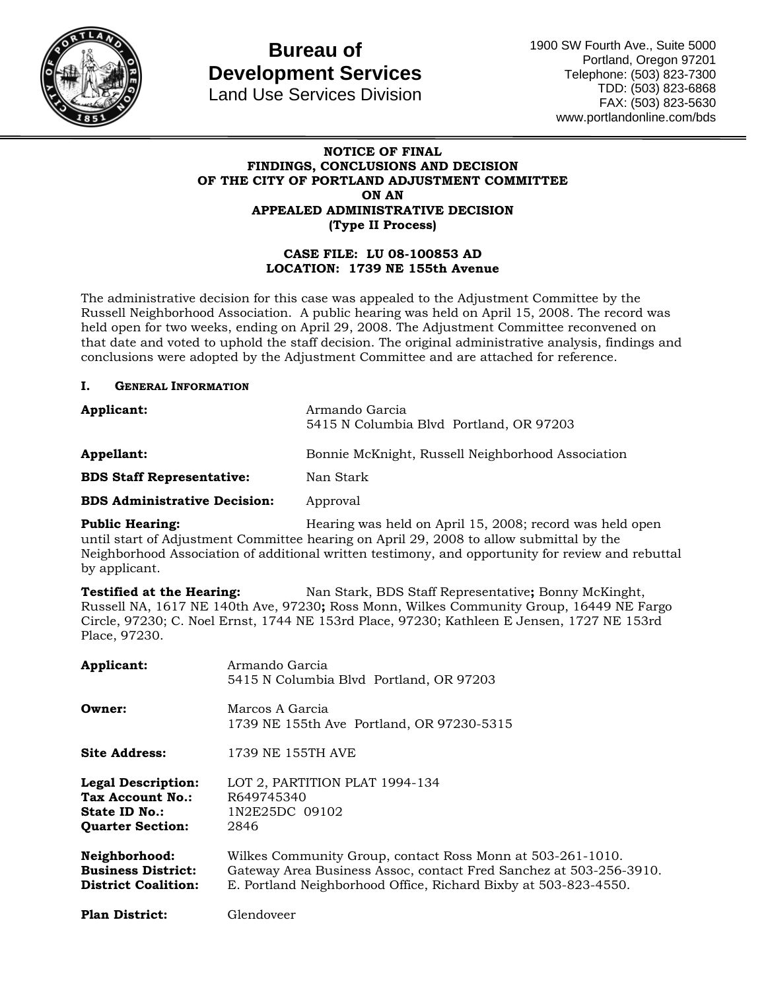

# **Bureau of Development Services**

Land Use Services Division

1900 SW Fourth Ave., Suite 5000 Portland, Oregon 97201 Telephone: (503) 823-7300 TDD: (503) 823-6868 FAX: (503) 823-5630 www.portlandonline.com/bds

#### **NOTICE OF FINAL FINDINGS, CONCLUSIONS AND DECISION OF THE CITY OF PORTLAND ADJUSTMENT COMMITTEE ON AN APPEALED ADMINISTRATIVE DECISION (Type II Process)**

#### **CASE FILE: LU 08-100853 AD LOCATION: 1739 NE 155th Avenue**

The administrative decision for this case was appealed to the Adjustment Committee by the Russell Neighborhood Association. A public hearing was held on April 15, 2008. The record was held open for two weeks, ending on April 29, 2008. The Adjustment Committee reconvened on that date and voted to uphold the staff decision. The original administrative analysis, findings and conclusions were adopted by the Adjustment Committee and are attached for reference.

#### **I. GENERAL INFORMATION**

| Applicant:                          | Armando Garcia<br>5415 N Columbia Blvd Portland, OR 97203 |
|-------------------------------------|-----------------------------------------------------------|
| Appellant:                          | Bonnie McKnight, Russell Neighborhood Association         |
| <b>BDS Staff Representative:</b>    | Nan Stark                                                 |
| <b>BDS Administrative Decision:</b> | Approval                                                  |

**Public Hearing: Hearing was held on April 15, 2008; record was held open** until start of Adjustment Committee hearing on April 29, 2008 to allow submittal by the Neighborhood Association of additional written testimony, and opportunity for review and rebuttal by applicant.

**Testified at the Hearing:** Nan Stark, BDS Staff Representative**;** Bonny McKinght, Russell NA, 1617 NE 140th Ave, 97230**;** Ross Monn, Wilkes Community Group, 16449 NE Fargo Circle, 97230; C. Noel Ernst, 1744 NE 153rd Place, 97230; Kathleen E Jensen, 1727 NE 153rd Place, 97230.

| Applicant:                                                                                | Armando Garcia<br>5415 N Columbia Blvd Portland, OR 97203                                                                                                                                           |
|-------------------------------------------------------------------------------------------|-----------------------------------------------------------------------------------------------------------------------------------------------------------------------------------------------------|
| Owner:                                                                                    | Marcos A Garcia<br>1739 NE 155th Ave Portland, OR 97230-5315                                                                                                                                        |
| <b>Site Address:</b>                                                                      | 1739 NE 155TH AVE                                                                                                                                                                                   |
| <b>Legal Description:</b><br>Tax Account No.:<br>State ID No.:<br><b>Ouarter Section:</b> | LOT 2, PARTITION PLAT 1994-134<br>R649745340<br>1N2E25DC 09102<br>2846                                                                                                                              |
| Neighborhood:<br><b>Business District:</b><br><b>District Coalition:</b>                  | Wilkes Community Group, contact Ross Monn at 503-261-1010.<br>Gateway Area Business Assoc, contact Fred Sanchez at 503-256-3910.<br>E. Portland Neighborhood Office, Richard Bixby at 503-823-4550. |
| <b>Plan District:</b>                                                                     | Glendoveer                                                                                                                                                                                          |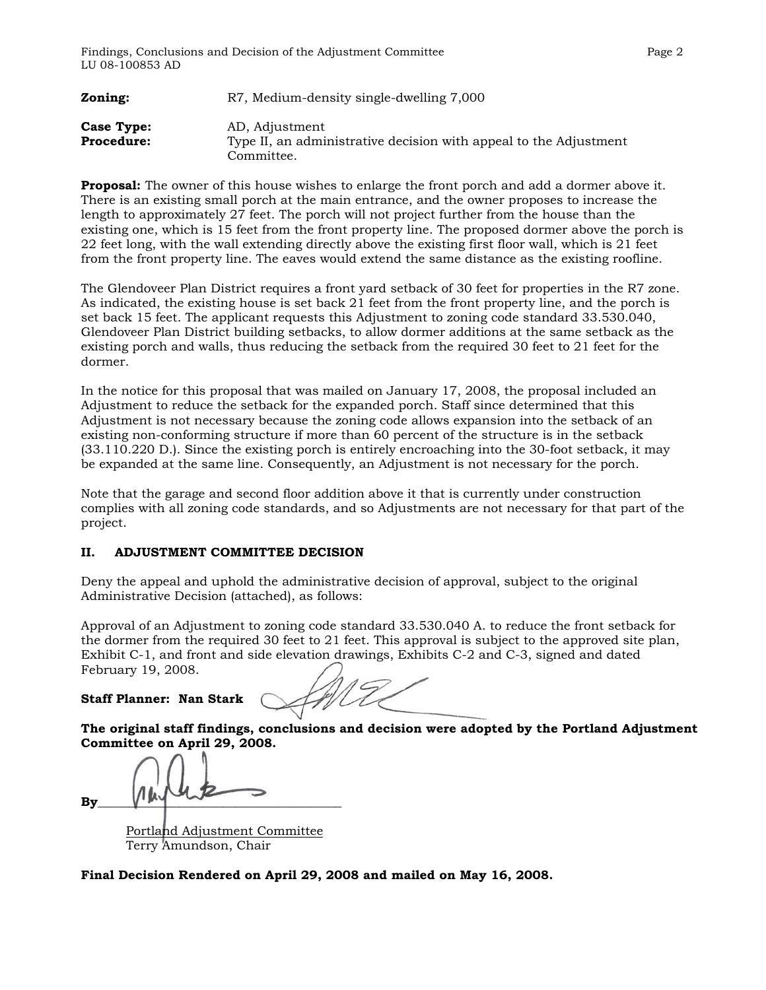| Zoning:                         | R7, Medium-density single-dwelling 7,000                                            |
|---------------------------------|-------------------------------------------------------------------------------------|
| Case Type:<br><b>Procedure:</b> | AD, Adjustment<br>Type II, an administrative decision with appeal to the Adjustment |
|                                 | Committee.                                                                          |

**Proposal:** The owner of this house wishes to enlarge the front porch and add a dormer above it. There is an existing small porch at the main entrance, and the owner proposes to increase the length to approximately 27 feet. The porch will not project further from the house than the existing one, which is 15 feet from the front property line. The proposed dormer above the porch is 22 feet long, with the wall extending directly above the existing first floor wall, which is 21 feet from the front property line. The eaves would extend the same distance as the existing roofline.

The Glendoveer Plan District requires a front yard setback of 30 feet for properties in the R7 zone. As indicated, the existing house is set back 21 feet from the front property line, and the porch is set back 15 feet. The applicant requests this Adjustment to zoning code standard 33.530.040, Glendoveer Plan District building setbacks, to allow dormer additions at the same setback as the existing porch and walls, thus reducing the setback from the required 30 feet to 21 feet for the dormer.

In the notice for this proposal that was mailed on January 17, 2008, the proposal included an Adjustment to reduce the setback for the expanded porch. Staff since determined that this Adjustment is not necessary because the zoning code allows expansion into the setback of an existing non-conforming structure if more than 60 percent of the structure is in the setback (33.110.220 D.). Since the existing porch is entirely encroaching into the 30-foot setback, it may be expanded at the same line. Consequently, an Adjustment is not necessary for the porch.

Note that the garage and second floor addition above it that is currently under construction complies with all zoning code standards, and so Adjustments are not necessary for that part of the project.

#### **II. ADJUSTMENT COMMITTEE DECISION**

Deny the appeal and uphold the administrative decision of approval, subject to the original Administrative Decision (attached), as follows:

Approval of an Adjustment to zoning code standard 33.530.040 A. to reduce the front setback for the dormer from the required 30 feet to 21 feet. This approval is subject to the approved site plan, Exhibit C-1, and front and side elevation drawings, Exhibits C-2 and C-3, signed and dated February 19, 2008.

#### **Staff Planner: Nan Stark**

**The original staff findings, conclusions and decision were adopted by the Portland Adjustment Committee on April 29, 2008.**

 $\mathbf{By}$   $\mathbf{By}$ 

Portland Adjustment Committee Terry Amundson, Chair

**Final Decision Rendered on April 29, 2008 and mailed on May 16, 2008.**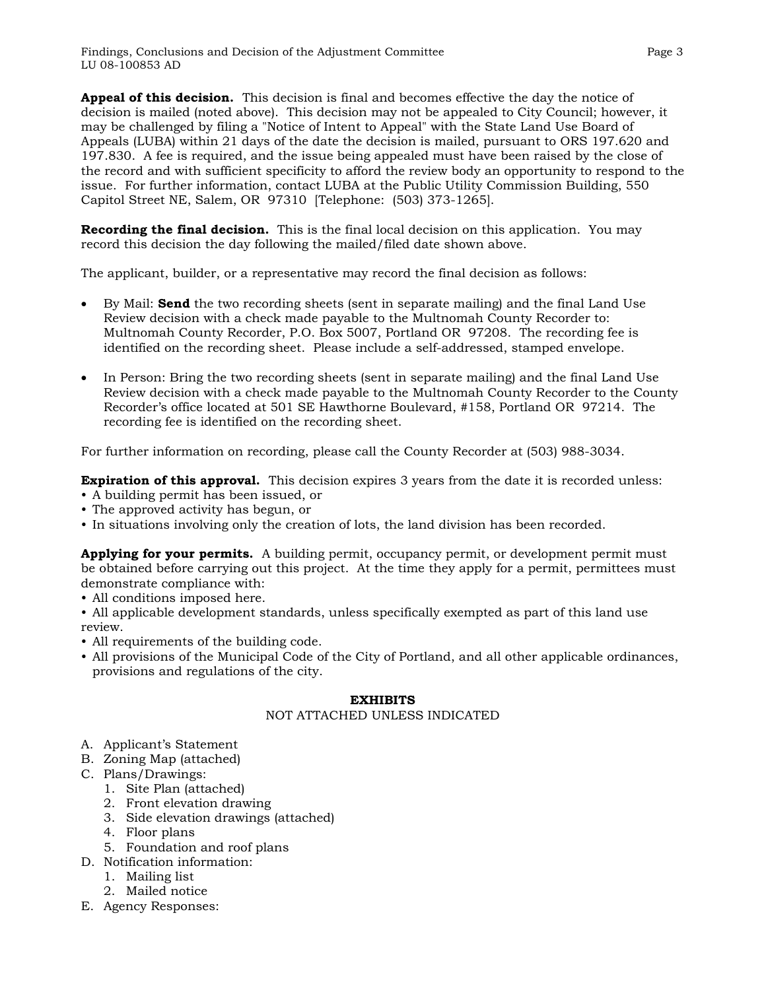**Appeal of this decision.** This decision is final and becomes effective the day the notice of decision is mailed (noted above). This decision may not be appealed to City Council; however, it may be challenged by filing a "Notice of Intent to Appeal" with the State Land Use Board of Appeals (LUBA) within 21 days of the date the decision is mailed, pursuant to ORS 197.620 and 197.830. A fee is required, and the issue being appealed must have been raised by the close of the record and with sufficient specificity to afford the review body an opportunity to respond to the issue. For further information, contact LUBA at the Public Utility Commission Building, 550 Capitol Street NE, Salem, OR 97310 [Telephone: (503) 373-1265].

**Recording the final decision.** This is the final local decision on this application. You may record this decision the day following the mailed/filed date shown above.

The applicant, builder, or a representative may record the final decision as follows:

- By Mail: **Send** the two recording sheets (sent in separate mailing) and the final Land Use Review decision with a check made payable to the Multnomah County Recorder to: Multnomah County Recorder, P.O. Box 5007, Portland OR 97208. The recording fee is identified on the recording sheet. Please include a self-addressed, stamped envelope.
- In Person: Bring the two recording sheets (sent in separate mailing) and the final Land Use Review decision with a check made payable to the Multnomah County Recorder to the County Recorder's office located at 501 SE Hawthorne Boulevard, #158, Portland OR 97214. The recording fee is identified on the recording sheet.

For further information on recording, please call the County Recorder at (503) 988-3034.

**Expiration of this approval.** This decision expires 3 years from the date it is recorded unless:

- A building permit has been issued, or
- The approved activity has begun, or
- In situations involving only the creation of lots, the land division has been recorded.

**Applying for your permits.** A building permit, occupancy permit, or development permit must be obtained before carrying out this project. At the time they apply for a permit, permittees must demonstrate compliance with:

• All conditions imposed here.

• All applicable development standards, unless specifically exempted as part of this land use review.

- All requirements of the building code.
- All provisions of the Municipal Code of the City of Portland, and all other applicable ordinances, provisions and regulations of the city.

#### **EXHIBITS**

#### NOT ATTACHED UNLESS INDICATED

- A. Applicant's Statement
- B. Zoning Map (attached)
- C. Plans/Drawings:
	- 1. Site Plan (attached)
	- 2. Front elevation drawing
	- 3. Side elevation drawings (attached)
	- 4. Floor plans
	- 5. Foundation and roof plans
- D. Notification information:
	- 1. Mailing list
	- 2. Mailed notice
- E. Agency Responses: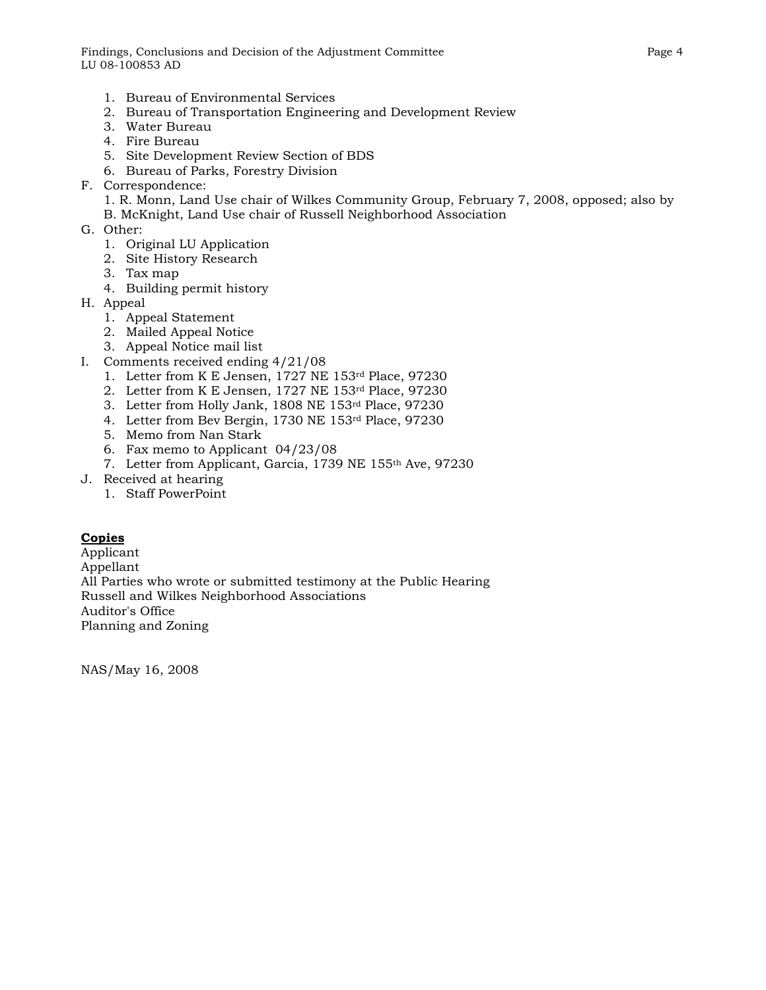Findings, Conclusions and Decision of the Adjustment Committee Page 4 LU 08-100853 AD

- 1. Bureau of Environmental Services
- 2. Bureau of Transportation Engineering and Development Review
- 3. Water Bureau
- 4. Fire Bureau
- 5. Site Development Review Section of BDS
- 6. Bureau of Parks, Forestry Division
- F. Correspondence:
	- 1. R. Monn, Land Use chair of Wilkes Community Group, February 7, 2008, opposed; also by
	- B. McKnight, Land Use chair of Russell Neighborhood Association
- G. Other:
	- 1. Original LU Application
	- 2. Site History Research
	- 3. Tax map
	- 4. Building permit history
- H. Appeal
	- 1. Appeal Statement
	- 2. Mailed Appeal Notice
	- 3. Appeal Notice mail list
- I. Comments received ending 4/21/08
	- 1. Letter from K E Jensen, 1727 NE 153rd Place, 97230
	- 2. Letter from K E Jensen, 1727 NE 153rd Place, 97230
	- 3. Letter from Holly Jank, 1808 NE 153rd Place, 97230
	- 4. Letter from Bev Bergin, 1730 NE 153rd Place, 97230
	- 5. Memo from Nan Stark
	- 6. Fax memo to Applicant 04/23/08
	- 7. Letter from Applicant, Garcia, 1739 NE 155th Ave, 97230
- J. Received at hearing
	- 1. Staff PowerPoint

#### **Copies**

Applicant Appellant All Parties who wrote or submitted testimony at the Public Hearing Russell and Wilkes Neighborhood Associations Auditor's Office Planning and Zoning

NAS/May 16, 2008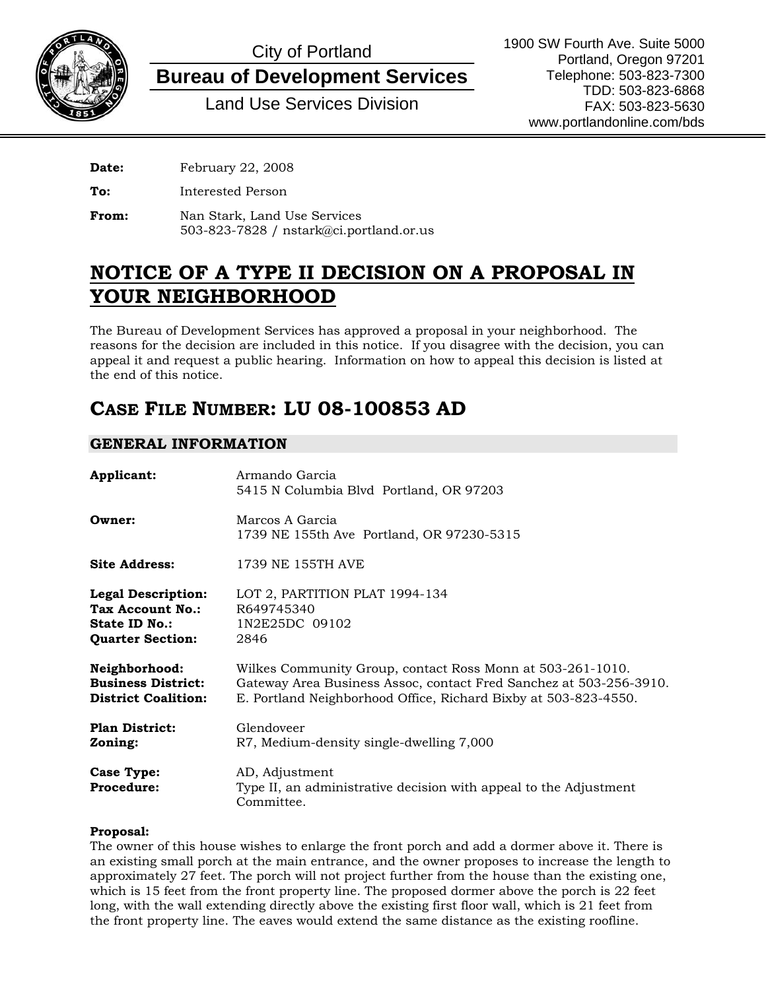

# City of Portland

**Bureau of Development Services**

Land Use Services Division

**Date:** February 22, 2008

**To:** Interested Person

**From:** Nan Stark, Land Use Services 503-823-7828 / nstark@ci.portland.or.us

## **NOTICE OF A TYPE II DECISION ON A PROPOSAL IN YOUR NEIGHBORHOOD**

The Bureau of Development Services has approved a proposal in your neighborhood. The reasons for the decision are included in this notice. If you disagree with the decision, you can appeal it and request a public hearing. Information on how to appeal this decision is listed at the end of this notice.

# **CASE FILE NUMBER: LU 08-100853 AD**

### **GENERAL INFORMATION**

| Applicant:                                                                                | Armando Garcia<br>5415 N Columbia Blvd Portland, OR 97203                                                                                                                                           |
|-------------------------------------------------------------------------------------------|-----------------------------------------------------------------------------------------------------------------------------------------------------------------------------------------------------|
| Owner:                                                                                    | Marcos A Garcia<br>1739 NE 155th Ave Portland, OR 97230-5315                                                                                                                                        |
| <b>Site Address:</b>                                                                      | 1739 NE 155TH AVE                                                                                                                                                                                   |
| <b>Legal Description:</b><br>Tax Account No.:<br>State ID No.:<br><b>Quarter Section:</b> | LOT 2, PARTITION PLAT 1994-134<br>R649745340<br>1N2E25DC 09102<br>2846                                                                                                                              |
| Neighborhood:<br><b>Business District:</b><br><b>District Coalition:</b>                  | Wilkes Community Group, contact Ross Monn at 503-261-1010.<br>Gateway Area Business Assoc, contact Fred Sanchez at 503-256-3910.<br>E. Portland Neighborhood Office, Richard Bixby at 503-823-4550. |
| <b>Plan District:</b><br>Zoning:                                                          | Glendoveer<br>R7, Medium-density single-dwelling 7,000                                                                                                                                              |
| <b>Case Type:</b><br><b>Procedure:</b>                                                    | AD, Adjustment<br>Type II, an administrative decision with appeal to the Adjustment<br>Committee.                                                                                                   |

#### **Proposal:**

The owner of this house wishes to enlarge the front porch and add a dormer above it. There is an existing small porch at the main entrance, and the owner proposes to increase the length to approximately 27 feet. The porch will not project further from the house than the existing one, which is 15 feet from the front property line. The proposed dormer above the porch is 22 feet long, with the wall extending directly above the existing first floor wall, which is 21 feet from the front property line. The eaves would extend the same distance as the existing roofline.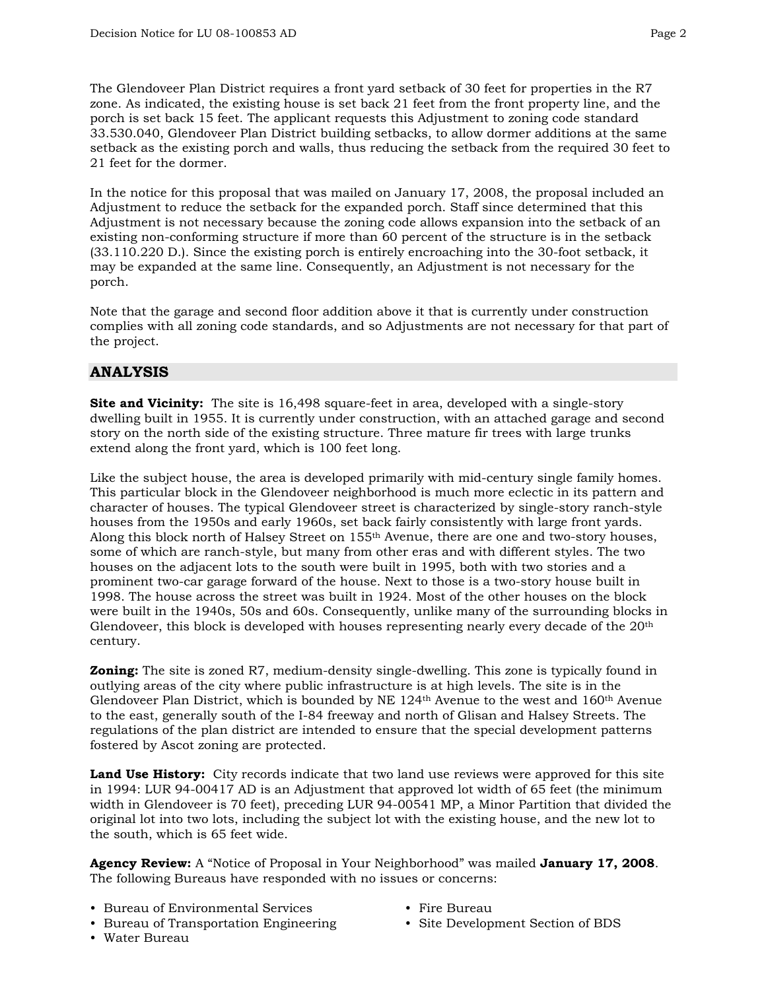The Glendoveer Plan District requires a front yard setback of 30 feet for properties in the R7 zone. As indicated, the existing house is set back 21 feet from the front property line, and the porch is set back 15 feet. The applicant requests this Adjustment to zoning code standard 33.530.040, Glendoveer Plan District building setbacks, to allow dormer additions at the same setback as the existing porch and walls, thus reducing the setback from the required 30 feet to 21 feet for the dormer.

In the notice for this proposal that was mailed on January 17, 2008, the proposal included an Adjustment to reduce the setback for the expanded porch. Staff since determined that this Adjustment is not necessary because the zoning code allows expansion into the setback of an existing non-conforming structure if more than 60 percent of the structure is in the setback (33.110.220 D.). Since the existing porch is entirely encroaching into the 30-foot setback, it may be expanded at the same line. Consequently, an Adjustment is not necessary for the porch.

Note that the garage and second floor addition above it that is currently under construction complies with all zoning code standards, and so Adjustments are not necessary for that part of the project.

### **ANALYSIS**

**Site and Vicinity:** The site is 16,498 square-feet in area, developed with a single-story dwelling built in 1955. It is currently under construction, with an attached garage and second story on the north side of the existing structure. Three mature fir trees with large trunks extend along the front yard, which is 100 feet long.

Like the subject house, the area is developed primarily with mid-century single family homes. This particular block in the Glendoveer neighborhood is much more eclectic in its pattern and character of houses. The typical Glendoveer street is characterized by single-story ranch-style houses from the 1950s and early 1960s, set back fairly consistently with large front yards. Along this block north of Halsey Street on 155th Avenue, there are one and two-story houses, some of which are ranch-style, but many from other eras and with different styles. The two houses on the adjacent lots to the south were built in 1995, both with two stories and a prominent two-car garage forward of the house. Next to those is a two-story house built in 1998. The house across the street was built in 1924. Most of the other houses on the block were built in the 1940s, 50s and 60s. Consequently, unlike many of the surrounding blocks in Glendoveer, this block is developed with houses representing nearly every decade of the 20th century.

**Zoning:** The site is zoned R7, medium-density single-dwelling. This zone is typically found in outlying areas of the city where public infrastructure is at high levels. The site is in the Glendoveer Plan District, which is bounded by NE 124th Avenue to the west and 160th Avenue to the east, generally south of the I-84 freeway and north of Glisan and Halsey Streets. The regulations of the plan district are intended to ensure that the special development patterns fostered by Ascot zoning are protected.

**Land Use History:** City records indicate that two land use reviews were approved for this site in 1994: LUR 94-00417 AD is an Adjustment that approved lot width of 65 feet (the minimum width in Glendoveer is 70 feet), preceding LUR 94-00541 MP, a Minor Partition that divided the original lot into two lots, including the subject lot with the existing house, and the new lot to the south, which is 65 feet wide.

**Agency Review:** A "Notice of Proposal in Your Neighborhood" was mailed **January 17, 2008**. The following Bureaus have responded with no issues or concerns:

- Bureau of Environmental Services
- Bureau of Transportation Engineering
- Water Bureau
- Fire Bureau
- Site Development Section of BDS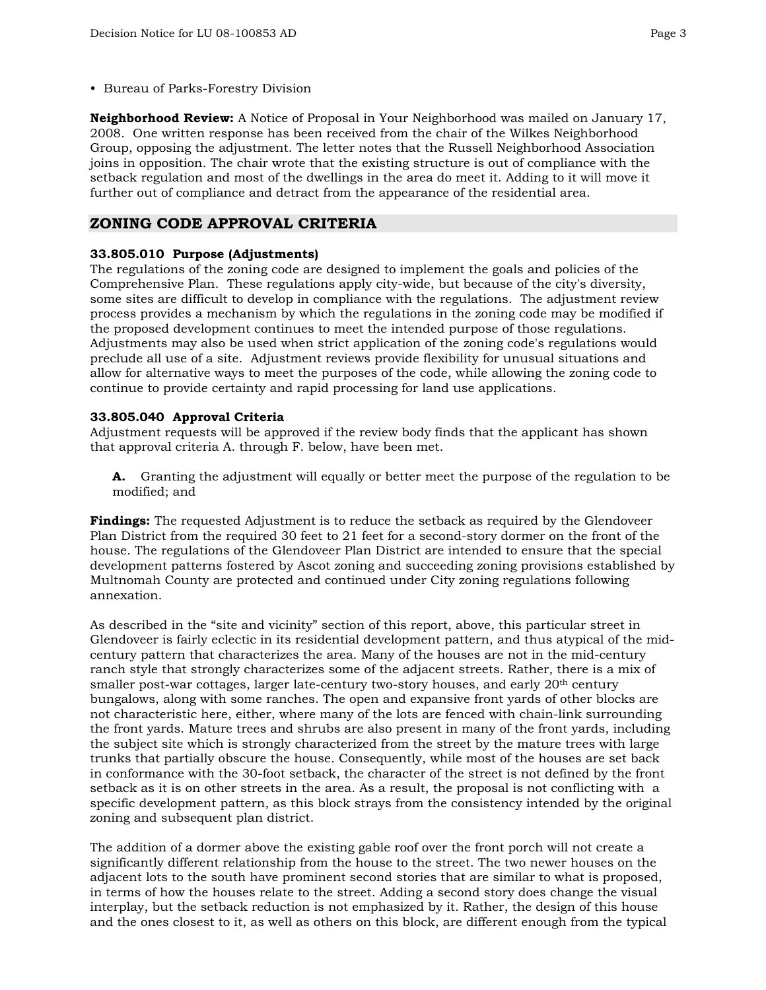• Bureau of Parks-Forestry Division

**Neighborhood Review:** A Notice of Proposal in Your Neighborhood was mailed on January 17, 2008. One written response has been received from the chair of the Wilkes Neighborhood Group, opposing the adjustment. The letter notes that the Russell Neighborhood Association joins in opposition. The chair wrote that the existing structure is out of compliance with the setback regulation and most of the dwellings in the area do meet it. Adding to it will move it further out of compliance and detract from the appearance of the residential area.

#### **ZONING CODE APPROVAL CRITERIA**

#### **33.805.010 Purpose (Adjustments)**

The regulations of the zoning code are designed to implement the goals and policies of the Comprehensive Plan. These regulations apply city-wide, but because of the city's diversity, some sites are difficult to develop in compliance with the regulations. The adjustment review process provides a mechanism by which the regulations in the zoning code may be modified if the proposed development continues to meet the intended purpose of those regulations. Adjustments may also be used when strict application of the zoning code's regulations would preclude all use of a site. Adjustment reviews provide flexibility for unusual situations and allow for alternative ways to meet the purposes of the code, while allowing the zoning code to continue to provide certainty and rapid processing for land use applications.

#### **33.805.040 Approval Criteria**

Adjustment requests will be approved if the review body finds that the applicant has shown that approval criteria A. through F. below, have been met.

**A.** Granting the adjustment will equally or better meet the purpose of the regulation to be modified; and

**Findings:** The requested Adjustment is to reduce the setback as required by the Glendoveer Plan District from the required 30 feet to 21 feet for a second-story dormer on the front of the house. The regulations of the Glendoveer Plan District are intended to ensure that the special development patterns fostered by Ascot zoning and succeeding zoning provisions established by Multnomah County are protected and continued under City zoning regulations following annexation.

As described in the "site and vicinity" section of this report, above, this particular street in Glendoveer is fairly eclectic in its residential development pattern, and thus atypical of the midcentury pattern that characterizes the area. Many of the houses are not in the mid-century ranch style that strongly characterizes some of the adjacent streets. Rather, there is a mix of smaller post-war cottages, larger late-century two-story houses, and early 20<sup>th</sup> century bungalows, along with some ranches. The open and expansive front yards of other blocks are not characteristic here, either, where many of the lots are fenced with chain-link surrounding the front yards. Mature trees and shrubs are also present in many of the front yards, including the subject site which is strongly characterized from the street by the mature trees with large trunks that partially obscure the house. Consequently, while most of the houses are set back in conformance with the 30-foot setback, the character of the street is not defined by the front setback as it is on other streets in the area. As a result, the proposal is not conflicting with a specific development pattern, as this block strays from the consistency intended by the original zoning and subsequent plan district.

The addition of a dormer above the existing gable roof over the front porch will not create a significantly different relationship from the house to the street. The two newer houses on the adjacent lots to the south have prominent second stories that are similar to what is proposed, in terms of how the houses relate to the street. Adding a second story does change the visual interplay, but the setback reduction is not emphasized by it. Rather, the design of this house and the ones closest to it, as well as others on this block, are different enough from the typical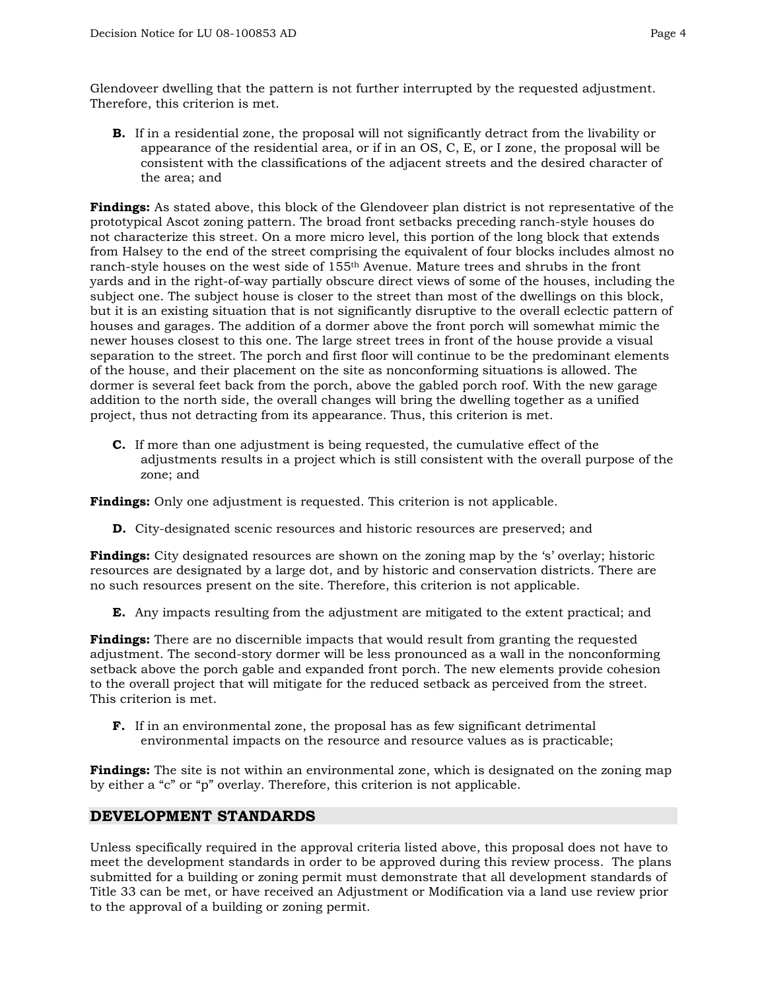Glendoveer dwelling that the pattern is not further interrupted by the requested adjustment. Therefore, this criterion is met.

**B.** If in a residential zone, the proposal will not significantly detract from the livability or appearance of the residential area, or if in an OS, C, E, or I zone, the proposal will be consistent with the classifications of the adjacent streets and the desired character of the area; and

**Findings:** As stated above, this block of the Glendoveer plan district is not representative of the prototypical Ascot zoning pattern. The broad front setbacks preceding ranch-style houses do not characterize this street. On a more micro level, this portion of the long block that extends from Halsey to the end of the street comprising the equivalent of four blocks includes almost no ranch-style houses on the west side of 155th Avenue. Mature trees and shrubs in the front yards and in the right-of-way partially obscure direct views of some of the houses, including the subject one. The subject house is closer to the street than most of the dwellings on this block, but it is an existing situation that is not significantly disruptive to the overall eclectic pattern of houses and garages. The addition of a dormer above the front porch will somewhat mimic the newer houses closest to this one. The large street trees in front of the house provide a visual separation to the street. The porch and first floor will continue to be the predominant elements of the house, and their placement on the site as nonconforming situations is allowed. The dormer is several feet back from the porch, above the gabled porch roof. With the new garage addition to the north side, the overall changes will bring the dwelling together as a unified project, thus not detracting from its appearance. Thus, this criterion is met.

**C.** If more than one adjustment is being requested, the cumulative effect of the adjustments results in a project which is still consistent with the overall purpose of the zone; and

**Findings:** Only one adjustment is requested. This criterion is not applicable.

**D.** City-designated scenic resources and historic resources are preserved; and

**Findings:** City designated resources are shown on the zoning map by the 's' overlay; historic resources are designated by a large dot, and by historic and conservation districts. There are no such resources present on the site. Therefore, this criterion is not applicable.

**E.** Any impacts resulting from the adjustment are mitigated to the extent practical; and

**Findings:** There are no discernible impacts that would result from granting the requested adjustment. The second-story dormer will be less pronounced as a wall in the nonconforming setback above the porch gable and expanded front porch. The new elements provide cohesion to the overall project that will mitigate for the reduced setback as perceived from the street. This criterion is met.

**F.** If in an environmental zone, the proposal has as few significant detrimental environmental impacts on the resource and resource values as is practicable;

**Findings:** The site is not within an environmental zone, which is designated on the zoning map by either a "c" or "p" overlay. Therefore, this criterion is not applicable.

#### **DEVELOPMENT STANDARDS**

Unless specifically required in the approval criteria listed above, this proposal does not have to meet the development standards in order to be approved during this review process. The plans submitted for a building or zoning permit must demonstrate that all development standards of Title 33 can be met, or have received an Adjustment or Modification via a land use review prior to the approval of a building or zoning permit.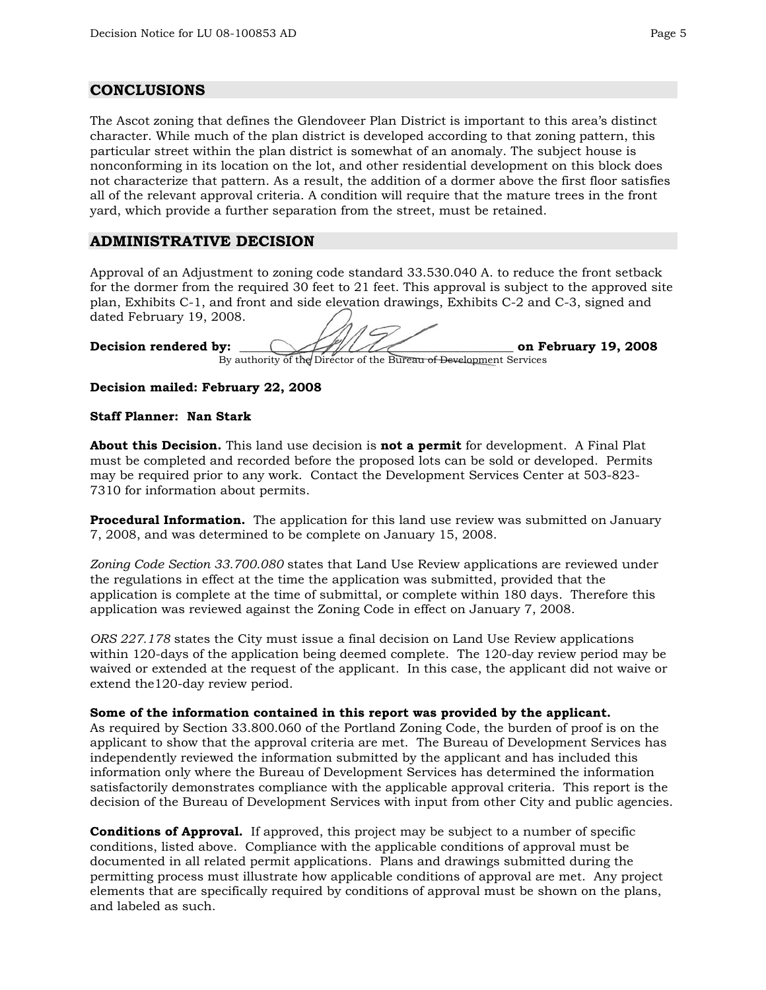#### **CONCLUSIONS**

The Ascot zoning that defines the Glendoveer Plan District is important to this area's distinct character. While much of the plan district is developed according to that zoning pattern, this particular street within the plan district is somewhat of an anomaly. The subject house is nonconforming in its location on the lot, and other residential development on this block does not characterize that pattern. As a result, the addition of a dormer above the first floor satisfies all of the relevant approval criteria. A condition will require that the mature trees in the front yard, which provide a further separation from the street, must be retained.

### **ADMINISTRATIVE DECISION**

Approval of an Adjustment to zoning code standard 33.530.040 A. to reduce the front setback for the dormer from the required 30 feet to 21 feet. This approval is subject to the approved site plan, Exhibits C-1, and front and side elevation drawings, Exhibits C-2 and C-3, signed and dated February 19, 2008.

Decision rendered by:  $\frac{1}{2}$  on February 19, 2008

By authority of the Director of the Bureau of Development Services

**Decision mailed: February 22, 2008**

#### **Staff Planner: Nan Stark**

**About this Decision.** This land use decision is **not a permit** for development. A Final Plat must be completed and recorded before the proposed lots can be sold or developed. Permits may be required prior to any work. Contact the Development Services Center at 503-823- 7310 for information about permits.

**Procedural Information.** The application for this land use review was submitted on January 7, 2008, and was determined to be complete on January 15, 2008.

*Zoning Code Section 33.700.080* states that Land Use Review applications are reviewed under the regulations in effect at the time the application was submitted, provided that the application is complete at the time of submittal, or complete within 180 days. Therefore this application was reviewed against the Zoning Code in effect on January 7, 2008.

*ORS 227.178* states the City must issue a final decision on Land Use Review applications within 120-days of the application being deemed complete. The 120-day review period may be waived or extended at the request of the applicant. In this case, the applicant did not waive or extend the120-day review period.

#### **Some of the information contained in this report was provided by the applicant.**

As required by Section 33.800.060 of the Portland Zoning Code, the burden of proof is on the applicant to show that the approval criteria are met. The Bureau of Development Services has independently reviewed the information submitted by the applicant and has included this information only where the Bureau of Development Services has determined the information satisfactorily demonstrates compliance with the applicable approval criteria. This report is the decision of the Bureau of Development Services with input from other City and public agencies.

**Conditions of Approval.** If approved, this project may be subject to a number of specific conditions, listed above. Compliance with the applicable conditions of approval must be documented in all related permit applications. Plans and drawings submitted during the permitting process must illustrate how applicable conditions of approval are met. Any project elements that are specifically required by conditions of approval must be shown on the plans, and labeled as such.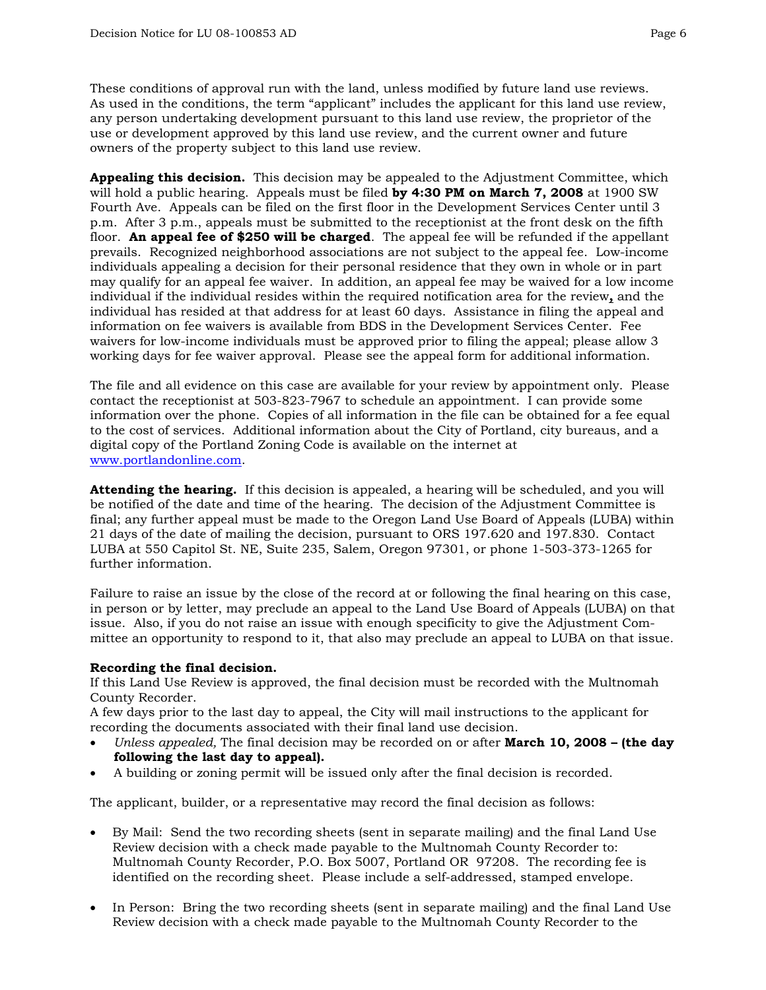These conditions of approval run with the land, unless modified by future land use reviews. As used in the conditions, the term "applicant" includes the applicant for this land use review, any person undertaking development pursuant to this land use review, the proprietor of the use or development approved by this land use review, and the current owner and future owners of the property subject to this land use review.

**Appealing this decision.** This decision may be appealed to the Adjustment Committee, which will hold a public hearing. Appeals must be filed **by 4:30 PM on March 7, 2008** at 1900 SW Fourth Ave. Appeals can be filed on the first floor in the Development Services Center until 3 p.m. After 3 p.m., appeals must be submitted to the receptionist at the front desk on the fifth floor. **An appeal fee of \$250 will be charged**. The appeal fee will be refunded if the appellant prevails. Recognized neighborhood associations are not subject to the appeal fee. Low-income individuals appealing a decision for their personal residence that they own in whole or in part may qualify for an appeal fee waiver. In addition, an appeal fee may be waived for a low income individual if the individual resides within the required notification area for the review**,** and the individual has resided at that address for at least 60 days. Assistance in filing the appeal and information on fee waivers is available from BDS in the Development Services Center. Fee waivers for low-income individuals must be approved prior to filing the appeal; please allow 3 working days for fee waiver approval. Please see the appeal form for additional information.

The file and all evidence on this case are available for your review by appointment only. Please contact the receptionist at 503-823-7967 to schedule an appointment. I can provide some [information over the phon](http://www.ci.portland.or.us/)e. Copies of all information in the file can be obtained for a fee equal to the cost of services. Additional information about the City of Portland, city bureaus, and a digital copy of the Portland Zoning Code is available on the internet at www.portlandonline.com.

**Attending the hearing.** If this decision is appealed, a hearing will be scheduled, and you will be notified of the date and time of the hearing. The decision of the Adjustment Committee is final; any further appeal must be made to the Oregon Land Use Board of Appeals (LUBA) within 21 days of the date of mailing the decision, pursuant to ORS 197.620 and 197.830. Contact LUBA at 550 Capitol St. NE, Suite 235, Salem, Oregon 97301, or phone 1-503-373-1265 for further information.

Failure to raise an issue by the close of the record at or following the final hearing on this case, in person or by letter, may preclude an appeal to the Land Use Board of Appeals (LUBA) on that issue. Also, if you do not raise an issue with enough specificity to give the Adjustment Committee an opportunity to respond to it, that also may preclude an appeal to LUBA on that issue.

#### **Recording the final decision.**

If this Land Use Review is approved, the final decision must be recorded with the Multnomah County Recorder.

A few days prior to the last day to appeal, the City will mail instructions to the applicant for recording the documents associated with their final land use decision.

- *Unless appealed,* The final decision may be recorded on or after **March 10, 2008 (the day following the last day to appeal).**
- A building or zoning permit will be issued only after the final decision is recorded.

The applicant, builder, or a representative may record the final decision as follows:

- By Mail: Send the two recording sheets (sent in separate mailing) and the final Land Use Review decision with a check made payable to the Multnomah County Recorder to: Multnomah County Recorder, P.O. Box 5007, Portland OR 97208. The recording fee is identified on the recording sheet. Please include a self-addressed, stamped envelope.
- In Person: Bring the two recording sheets (sent in separate mailing) and the final Land Use Review decision with a check made payable to the Multnomah County Recorder to the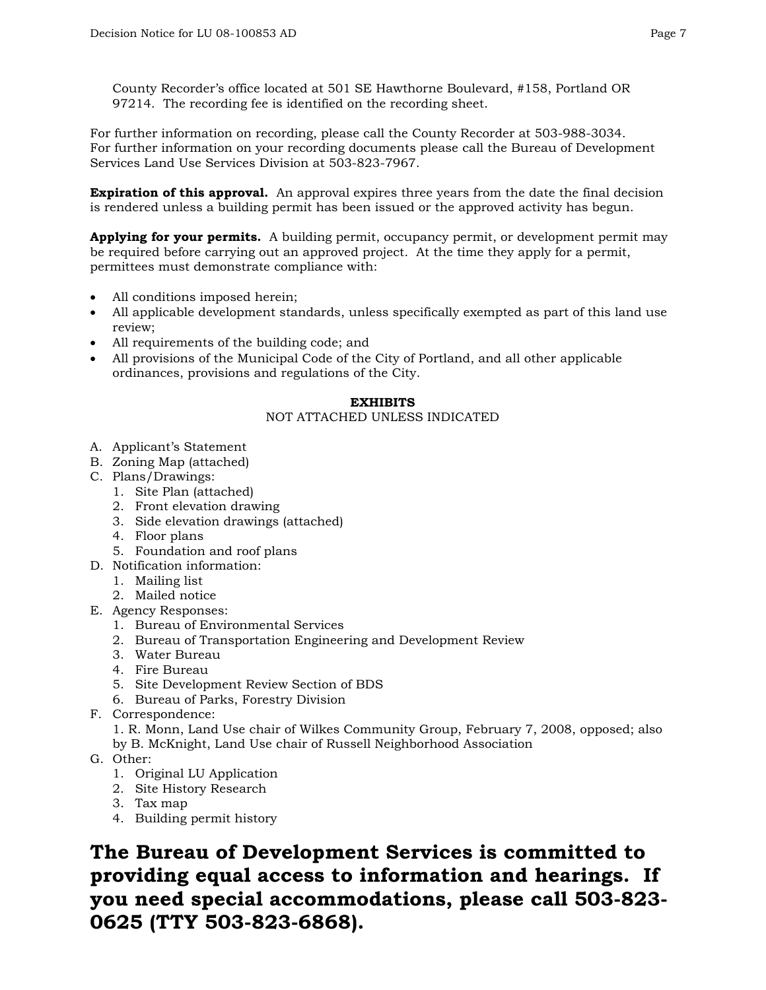County Recorder's office located at 501 SE Hawthorne Boulevard, #158, Portland OR 97214. The recording fee is identified on the recording sheet.

For further information on recording, please call the County Recorder at 503-988-3034. For further information on your recording documents please call the Bureau of Development Services Land Use Services Division at 503-823-7967.

**Expiration of this approval.** An approval expires three years from the date the final decision is rendered unless a building permit has been issued or the approved activity has begun.

**Applying for your permits.** A building permit, occupancy permit, or development permit may be required before carrying out an approved project. At the time they apply for a permit, permittees must demonstrate compliance with:

- All conditions imposed herein;
- All applicable development standards, unless specifically exempted as part of this land use review;
- All requirements of the building code; and
- All provisions of the Municipal Code of the City of Portland, and all other applicable ordinances, provisions and regulations of the City.

#### **EXHIBITS**

#### NOT ATTACHED UNLESS INDICATED

- A. Applicant's Statement
- B. Zoning Map (attached)
- C. Plans/Drawings:
	- 1. Site Plan (attached)
	- 2. Front elevation drawing
	- 3. Side elevation drawings (attached)
	- 4. Floor plans
	- 5. Foundation and roof plans
- D. Notification information:
	- 1. Mailing list
	- 2. Mailed notice
- E. Agency Responses:
	- 1. Bureau of Environmental Services
	- 2. Bureau of Transportation Engineering and Development Review
	- 3. Water Bureau
	- 4. Fire Bureau
	- 5. Site Development Review Section of BDS
	- 6. Bureau of Parks, Forestry Division
- F. Correspondence:

1. R. Monn, Land Use chair of Wilkes Community Group, February 7, 2008, opposed; also by B. McKnight, Land Use chair of Russell Neighborhood Association

- G. Other:
	- 1. Original LU Application
	- 2. Site History Research
	- 3. Tax map
	- 4. Building permit history

**The Bureau of Development Services is committed to providing equal access to information and hearings. If you need special accommodations, please call 503-823- 0625 (TTY 503-823-6868).**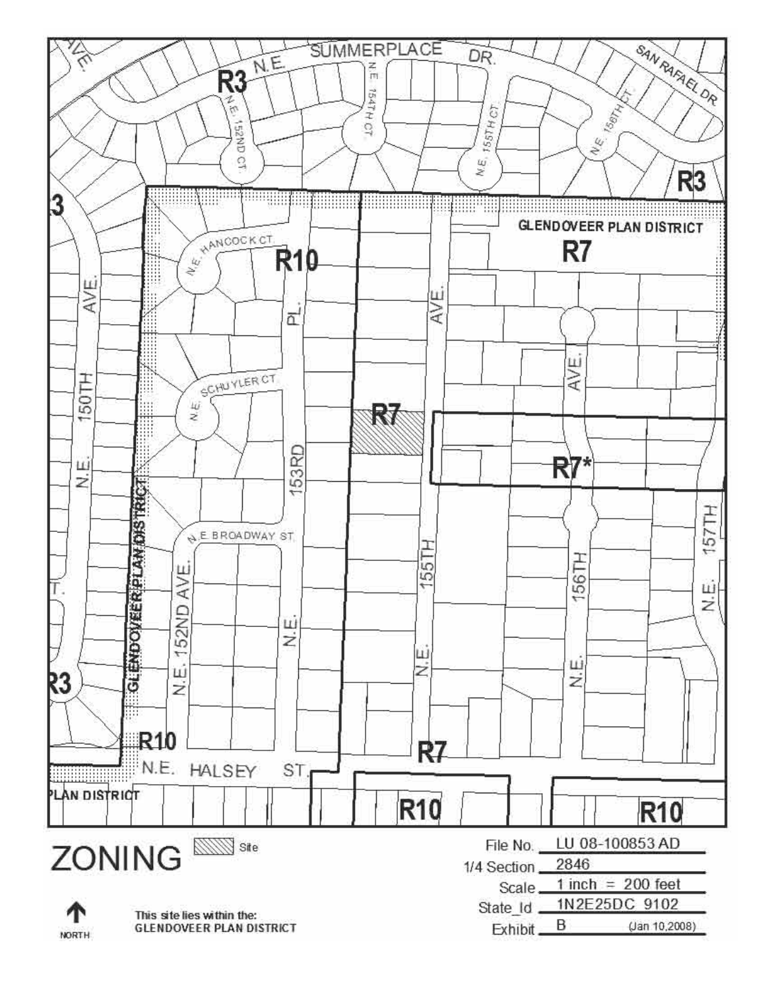